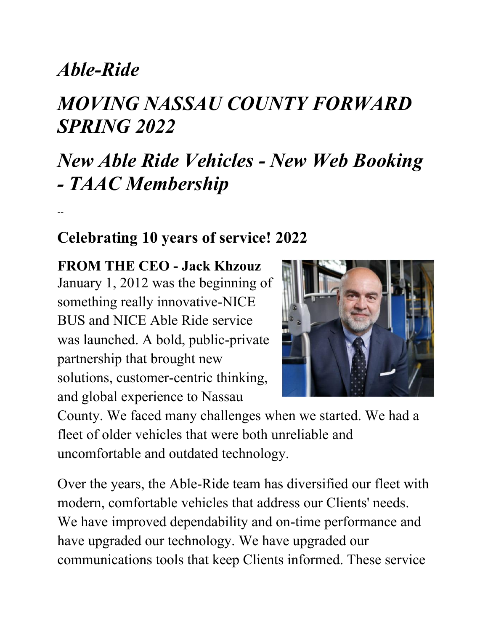## *Able-Ride*

--

# *MOVING NASSAU COUNTY FORWARD SPRING 2022*

# *New Able Ride Vehicles - New Web Booking - TAAC Membership*

#### **Celebrating 10 years of service! 2022**

**FROM THE CEO - Jack Khzouz** January 1, 2012 was the beginning of something really innovative-NICE BUS and NICE Able Ride service was launched. A bold, public-private partnership that brought new solutions, customer-centric thinking, and global experience to Nassau



County. We faced many challenges when we started. We had a fleet of older vehicles that were both unreliable and uncomfortable and outdated technology.

Over the years, the Able-Ride team has diversified our fleet with modern, comfortable vehicles that address our Clients' needs. We have improved dependability and on-time performance and have upgraded our technology. We have upgraded our communications tools that keep Clients informed. These service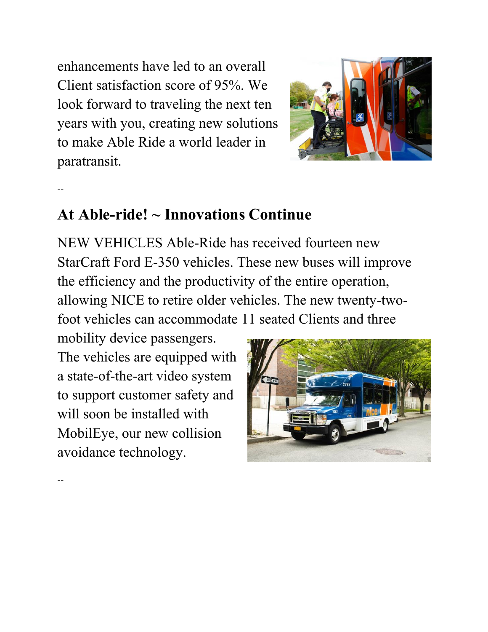enhancements have led to an overall Client satisfaction score of 95%. We look forward to traveling the next ten years with you, creating new solutions to make Able Ride a world leader in paratransit.



#### --

--

#### **At Able-ride! ~ Innovations Continue**

NEW VEHICLES Able-Ride has received fourteen new StarCraft Ford E-350 vehicles. These new buses will improve the efficiency and the productivity of the entire operation, allowing NICE to retire older vehicles. The new twenty-twofoot vehicles can accommodate 11 seated Clients and three

mobility device passengers. The vehicles are equipped with a state-of-the-art video system to support customer safety and will soon be installed with MobilEye, our new collision avoidance technology.

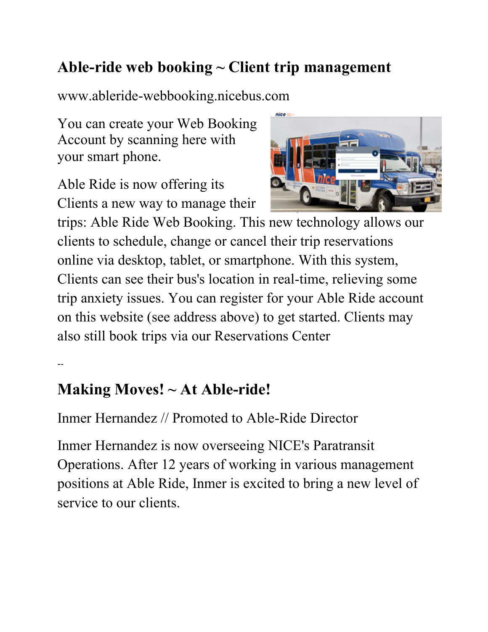#### **Able-ride web booking ~ Client trip management**

www.ableride-webbooking.nicebus.com

You can create your Web Booking Account by scanning here with your smart phone.

Able Ride is now offering its Clients a new way to manage their



trips: Able Ride Web Booking. This new technology allows our clients to schedule, change or cancel their trip reservations online via desktop, tablet, or smartphone. With this system, Clients can see their bus's location in real-time, relieving some trip anxiety issues. You can register for your Able Ride account on this website (see address above) to get started. Clients may also still book trips via our Reservations Center

--

#### **Making Moves! ~ At Able-ride!**

Inmer Hernandez // Promoted to Able-Ride Director

Inmer Hernandez is now overseeing NICE's Paratransit Operations. After 12 years of working in various management positions at Able Ride, Inmer is excited to bring a new level of service to our clients.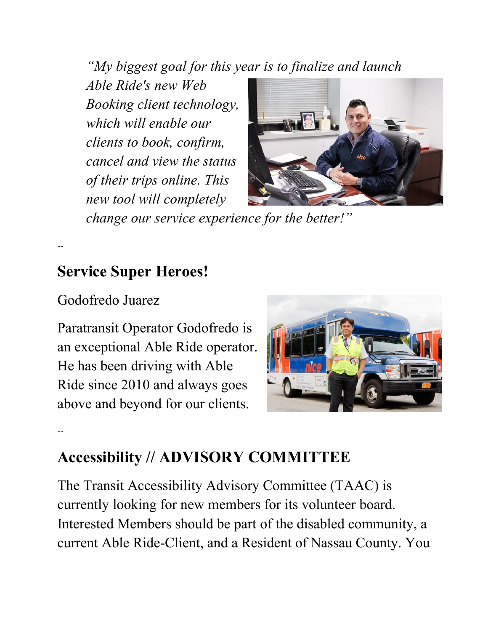*"My biggest goal for this year is to finalize and launch* 

*Able Ride's new Web Booking client technology, which will enable our clients to book, confirm, cancel and view the status of their trips online. This new tool will completely* 



*change our service experience for the better!"*

#### **Service Super Heroes!**

Godofredo Juarez

*--*

--

Paratransit Operator Godofredo is an exceptional Able Ride operator. He has been driving with Able Ride since 2010 and always goes above and beyond for our clients.



### **Accessibility // ADVISORY COMMITTEE**

The Transit Accessibility Advisory Committee (TAAC) is currently looking for new members for its volunteer board. Interested Members should be part of the disabled community, a current Able Ride-Client, and a Resident of Nassau County. You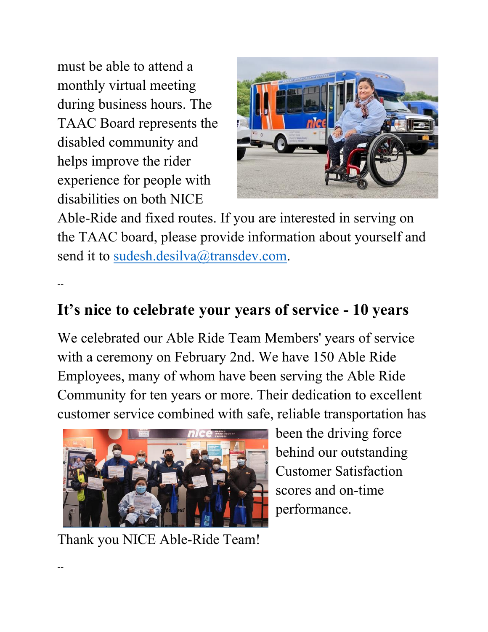must be able to attend a monthly virtual meeting during business hours. The TAAC Board represents the disabled community and helps improve the rider experience for people with disabilities on both NICE



Able-Ride and fixed routes. If you are interested in serving on the TAAC board, please provide information about yourself and send it to sudesh.desilva@transdev.com.

--

#### **It's nice to celebrate your years of service - 10 years**

We celebrated our Able Ride Team Members' years of service with a ceremony on February 2nd. We have 150 Able Ride Employees, many of whom have been serving the Able Ride Community for ten years or more. Their dedication to excellent customer service combined with safe, reliable transportation has



Thank you NICE Able-Ride Team!

been the driving force behind our outstanding Customer Satisfaction scores and on-time performance.